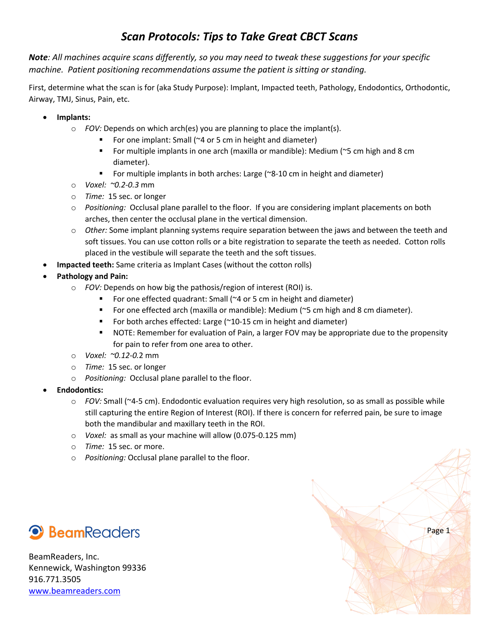## *Scan Protocols: Tips to Take Great CBCT Scans*

*Note: All machines acquire scans differently, so you may need to tweak these suggestions for your specific machine. Patient positioning recommendations assume the patient is sitting or standing.*

First, determine what the scan is for (aka Study Purpose): Implant, Impacted teeth, Pathology, Endodontics, Orthodontic, Airway, TMJ, Sinus, Pain, etc.

- **Implants:** 
	- o *FOV:* Depends on which arch(es) you are planning to place the implant(s).
		- For one implant: Small (~4 or 5 cm in height and diameter)
		- § For multiple implants in one arch (maxilla or mandible): Medium (~5 cm high and 8 cm diameter).
		- For multiple implants in both arches: Large (~8-10 cm in height and diameter)
	- o *Voxel: ~0.2-0.3* mm
	- o *Time:* 15 sec. or longer
	- o *Positioning:* Occlusal plane parallel to the floor. If you are considering implant placements on both arches, then center the occlusal plane in the vertical dimension.
	- o *Other:* Some implant planning systems require separation between the jaws and between the teeth and soft tissues. You can use cotton rolls or a bite registration to separate the teeth as needed. Cotton rolls placed in the vestibule will separate the teeth and the soft tissues.
- **Impacted teeth:** Same criteria as Implant Cases (without the cotton rolls)
- **Pathology and Pain:**
	- o *FOV:* Depends on how big the pathosis/region of interest (ROI) is.
		- For one effected quadrant: Small (~4 or 5 cm in height and diameter)
		- For one effected arch (maxilla or mandible): Medium (~5 cm high and 8 cm diameter).
		- For both arches effected: Large (~10-15 cm in height and diameter)
		- **NOTE: Remember for evaluation of Pain, a larger FOV may be appropriate due to the propensity** for pain to refer from one area to other.
	- o *Voxel: ~0.12-0.*2 mm
	- o *Time:* 15 sec. or longer
	- o *Positioning:* Occlusal plane parallel to the floor.
- **Endodontics:**
	- o *FOV:* Small (~4-5 cm). Endodontic evaluation requires very high resolution, so as small as possible while still capturing the entire Region of Interest (ROI). If there is concern for referred pain, be sure to image both the mandibular and maxillary teeth in the ROI.
	- o *Voxel:* as small as your machine will allow (0.075-0.125 mm)
	- o *Time:* 15 sec. or more.
	- o *Positioning:* Occlusal plane parallel to the floor.



BeamReaders, Inc. Kennewick, Washington 99336 916.771.3505 www.beamreaders.com

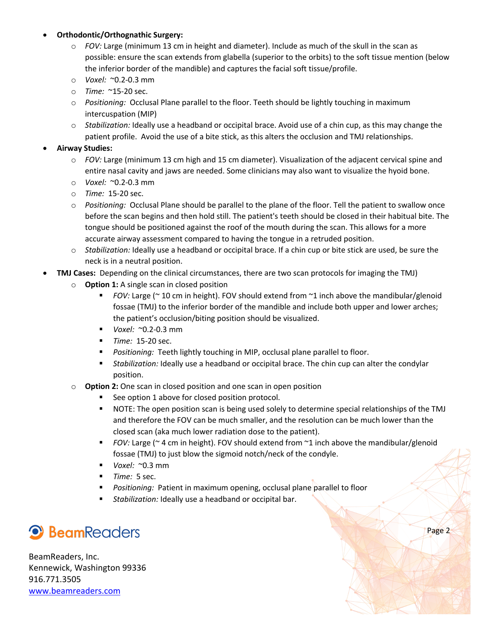## • **Orthodontic/Orthognathic Surgery:**

- o *FOV:* Large (minimum 13 cm in height and diameter). Include as much of the skull in the scan as possible: ensure the scan extends from glabella (superior to the orbits) to the soft tissue mention (below the inferior border of the mandible) and captures the facial soft tissue/profile.
- o *Voxel:* ~0.2-0.3 mm
- o *Time:* ~15-20 sec.
- o *Positioning:* Occlusal Plane parallel to the floor. Teeth should be lightly touching in maximum intercuspation (MIP)
- o *Stabilization:* Ideally use a headband or occipital brace. Avoid use of a chin cup, as this may change the patient profile. Avoid the use of a bite stick, as this alters the occlusion and TMJ relationships.

## • **Airway Studies:**

- o *FOV:* Large (minimum 13 cm high and 15 cm diameter). Visualization of the adjacent cervical spine and entire nasal cavity and jaws are needed. Some clinicians may also want to visualize the hyoid bone.
- o *Voxel:* ~0.2-0.3 mm
- o *Time:* 15-20 sec.
- o *Positioning:* Occlusal Plane should be parallel to the plane of the floor. Tell the patient to swallow once before the scan begins and then hold still. The patient's teeth should be closed in their habitual bite. The tongue should be positioned against the roof of the mouth during the scan. This allows for a more accurate airway assessment compared to having the tongue in a retruded position.
- o *Stabilization:* Ideally use a headband or occipital brace. If a chin cup or bite stick are used, be sure the neck is in a neutral position.
- **TMJ Cases:** Depending on the clinical circumstances, there are two scan protocols for imaging the TMJ)
	- o **Option 1:** A single scan in closed position
		- § *FOV:* Large (~ 10 cm in height). FOV should extend from ~1 inch above the mandibular/glenoid fossae (TMJ) to the inferior border of the mandible and include both upper and lower arches; the patient's occlusion/biting position should be visualized.
		- § *Voxel:* ~0.2-0.3 mm
		- *Time:* 15-20 sec.
		- § *Positioning:* Teeth lightly touching in MIP, occlusal plane parallel to floor.
		- § *Stabilization:* Ideally use a headband or occipital brace. The chin cup can alter the condylar position.
	- o **Option 2:** One scan in closed position and one scan in open position
		- See option 1 above for closed position protocol.
		- § NOTE: The open position scan is being used solely to determine special relationships of the TMJ and therefore the FOV can be much smaller, and the resolution can be much lower than the closed scan (aka much lower radiation dose to the patient).
		- § *FOV:* Large (~ 4 cm in height). FOV should extend from ~1 inch above the mandibular/glenoid fossae (TMJ) to just blow the sigmoid notch/neck of the condyle.
		- § *Voxel:* ~0.3 mm
		- § *Time:* 5 sec.
		- § *Positioning:* Patient in maximum opening, occlusal plane parallel to floor
		- *Stabilization:* Ideally use a headband or occipital bar.

## <sup>9</sup> BeamReaders

BeamReaders, Inc. Kennewick, Washington 99336 916.771.3505 www.beamreaders.com

Page 2